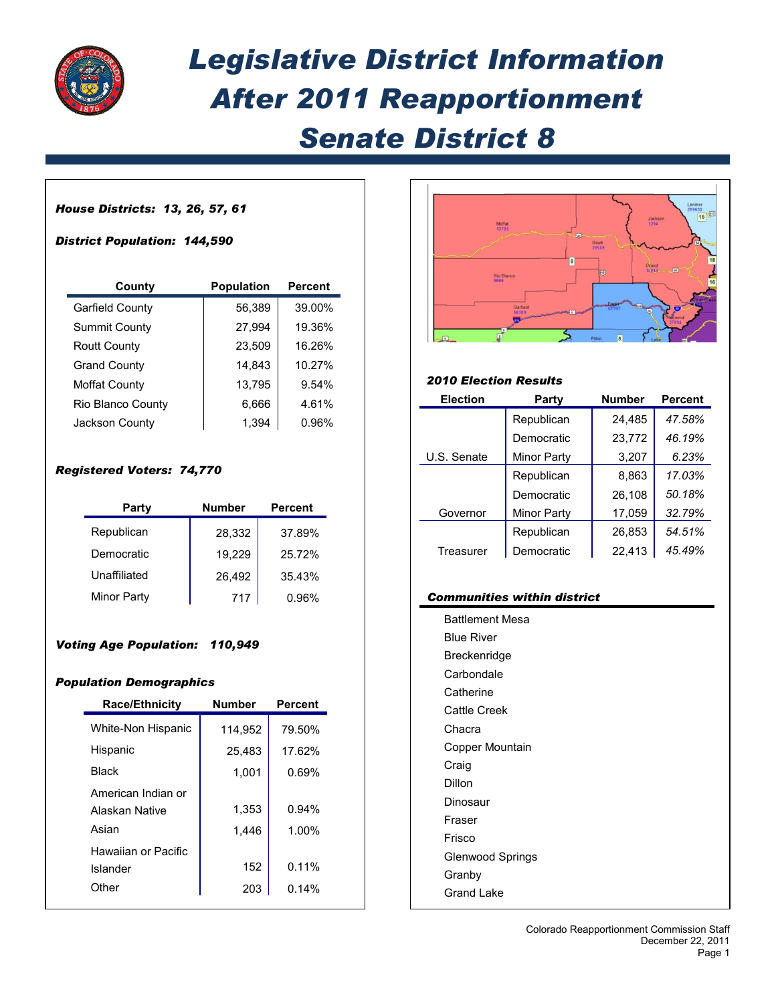

# *Legislative District Information After 2011 Reapportionment Senate District 8*

# *House Districts: 13, 26, 57, 61*

## *District Population: 144,590*

| County                   | <b>Population</b> | <b>Percent</b> |
|--------------------------|-------------------|----------------|
| Garfield County          | 56,389            | 39.00%         |
| <b>Summit County</b>     | 27,994            | 19.36%         |
| <b>Routt County</b>      | 23,509            | 16.26%         |
| <b>Grand County</b>      | 14,843            | 10.27%         |
| <b>Moffat County</b>     | 13,795            | 9.54%          |
| <b>Rio Blanco County</b> | 6,666             | 4.61%          |
| Jackson County           | 1.394             | 0.96%          |

## *Registered Voters: 74,770*

| Party        | <b>Number</b> | <b>Percent</b> |
|--------------|---------------|----------------|
| Republican   | 28,332        | 37.89%         |
| Democratic   | 19,229        | 25.72%         |
| Unaffiliated | 26,492        | 35.43%         |
| Minor Party  | 717           | 0.96%          |

# *Voting Age Population: 110,949*

#### *Population Demographics*

| <b>Race/Ethnicity</b> | <b>Number</b> | <b>Percent</b> |
|-----------------------|---------------|----------------|
| White-Non Hispanic    | 114,952       | 79.50%         |
| Hispanic              | 25,483        | 17.62%         |
| <b>Black</b>          | 1,001         | 0.69%          |
| American Indian or    |               |                |
| Alaskan Native        | 1,353         | 0.94%          |
| Asian                 | 1,446         | $1.00\%$       |
| Hawaiian or Pacific   |               |                |
| Islander              | 152           | 0.11%          |
| Other                 | 203           | 0.14%          |



# *2010 Election Results*

| <b>Election</b> | Party       | <b>Number</b> | <b>Percent</b> |
|-----------------|-------------|---------------|----------------|
|                 | Republican  | 24,485        | 47.58%         |
|                 | Democratic  | 23,772        | 46.19%         |
| U.S. Senate     | Minor Party | 3,207         | 6.23%          |
|                 | Republican  | 8,863         | 17.03%         |
|                 | Democratic  | 26,108        | 50.18%         |
| Governor        | Minor Party | 17,059        | 32.79%         |
|                 | Republican  | 26,853        | 54.51%         |
| Treasurer       | Democratic  | 22.413        | 45.49%         |

#### *Communities within district*

| <b>Battlement Mesa</b>  |
|-------------------------|
| <b>Blue River</b>       |
| Breckenridge            |
| Carbondale              |
| Catherine               |
| Cattle Creek            |
| Chacra                  |
| Copper Mountain         |
| Craig                   |
| Dillon                  |
| Dinosaur                |
| Fraser                  |
| Frisco                  |
| <b>Glenwood Springs</b> |
| Granby                  |
| Grand Lake              |